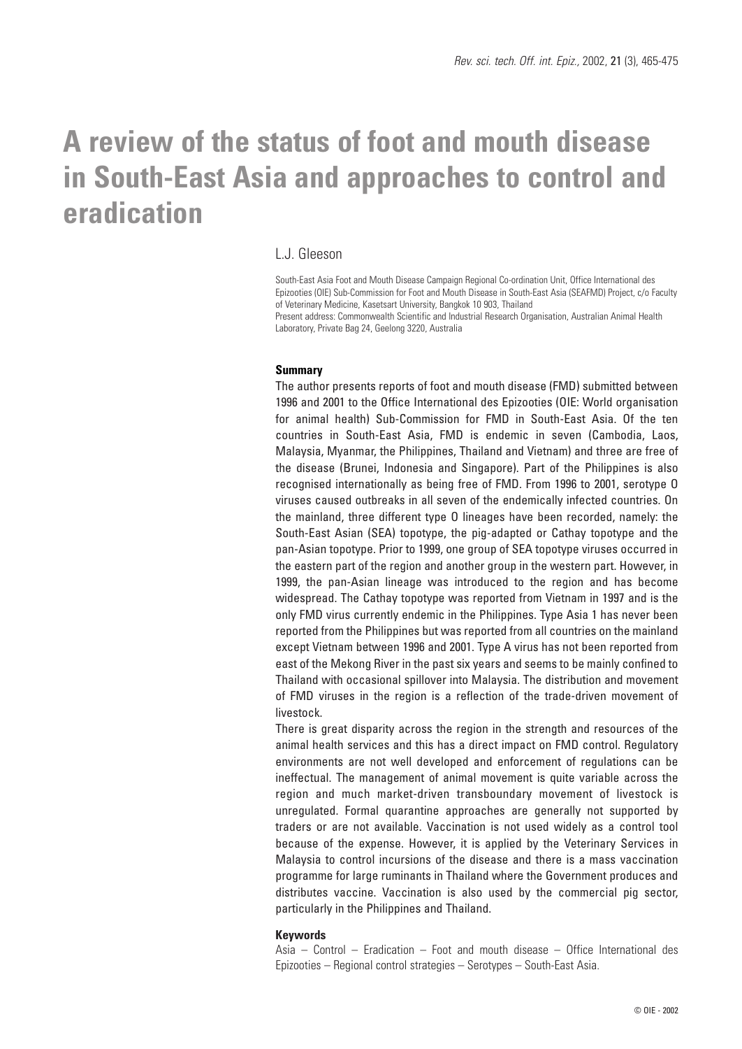# **A review of the status of foot and mouth disease in South-East Asia and approaches to control and eradication**

#### L.J. Gleeson

South-East Asia Foot and Mouth Disease Campaign Regional Co-ordination Unit, Office International des Epizooties (OIE) Sub-Commission for Foot and Mouth Disease in South-East Asia (SEAFMD) Project, c/o Faculty of Veterinary Medicine, Kasetsart University, Bangkok 10 903, Thailand Present address: Commonwealth Scientific and Industrial Research Organisation, Australian Animal Health Laboratory, Private Bag 24, Geelong 3220, Australia

#### **Summary**

The author presents reports of foot and mouth disease (FMD) submitted between 1996 and 2001 to the Office International des Epizooties (OIE: World organisation for animal health) Sub-Commission for FMD in South-East Asia. Of the ten countries in South-East Asia, FMD is endemic in seven (Cambodia, Laos, Malaysia, Myanmar, the Philippines, Thailand and Vietnam) and three are free of the disease (Brunei, Indonesia and Singapore). Part of the Philippines is also recognised internationally as being free of FMD. From 1996 to 2001, serotype O viruses caused outbreaks in all seven of the endemically infected countries. On the mainland, three different type O lineages have been recorded, namely: the South-East Asian (SEA) topotype, the pig-adapted or Cathay topotype and the pan-Asian topotype. Prior to 1999, one group of SEA topotype viruses occurred in the eastern part of the region and another group in the western part. However, in 1999, the pan-Asian lineage was introduced to the region and has become widespread. The Cathay topotype was reported from Vietnam in 1997 and is the only FMD virus currently endemic in the Philippines. Type Asia 1 has never been reported from the Philippines but was reported from all countries on the mainland except Vietnam between 1996 and 2001. Type A virus has not been reported from east of the Mekong River in the past six years and seems to be mainly confined to Thailand with occasional spillover into Malaysia. The distribution and movement of FMD viruses in the region is a reflection of the trade-driven movement of livestock.

There is great disparity across the region in the strength and resources of the animal health services and this has a direct impact on FMD control. Regulatory environments are not well developed and enforcement of regulations can be ineffectual. The management of animal movement is quite variable across the region and much market-driven transboundary movement of livestock is unregulated. Formal quarantine approaches are generally not supported by traders or are not available. Vaccination is not used widely as a control tool because of the expense. However, it is applied by the Veterinary Services in Malaysia to control incursions of the disease and there is a mass vaccination programme for large ruminants in Thailand where the Government produces and distributes vaccine. Vaccination is also used by the commercial pig sector, particularly in the Philippines and Thailand.

#### **Keywords**

Asia – Control – Eradication – Foot and mouth disease – Office International des Epizooties – Regional control strategies – Serotypes – South-East Asia.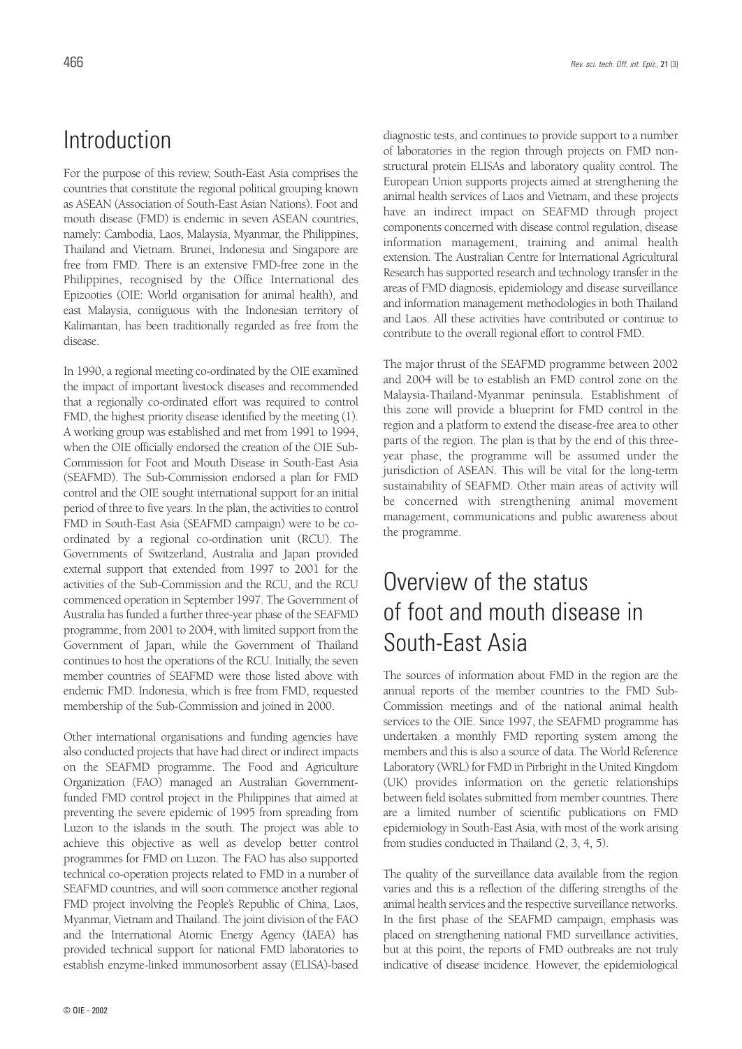### Introduction

For the purpose of this review, South-East Asia comprises the countries that constitute the regional political grouping known as ASEAN (Association of South-East Asian Nations). Foot and mouth disease (FMD) is endemic in seven ASEAN countries, namely: Cambodia, Laos, Malaysia, Myanmar, the Philippines, Thailand and Vietnam. Brunei, Indonesia and Singapore are free from FMD. There is an extensive FMD-free zone in the Philippines, recognised by the Office International des Epizooties (OIE: World organisation for animal health), and east Malaysia, contiguous with the Indonesian territory of Kalimantan, has been traditionally regarded as free from the disease.

In 1990, a regional meeting co-ordinated by the OIE examined the impact of important livestock diseases and recommended that a regionally co-ordinated effort was required to control FMD, the highest priority disease identified by the meeting (1). A working group was established and met from 1991 to 1994, when the OIE officially endorsed the creation of the OIE Sub-Commission for Foot and Mouth Disease in South-East Asia (SEAFMD). The Sub-Commission endorsed a plan for FMD control and the OIE sought international support for an initial period of three to five years. In the plan, the activities to control FMD in South-East Asia (SEAFMD campaign) were to be coordinated by a regional co-ordination unit (RCU). The Governments of Switzerland, Australia and Japan provided external support that extended from 1997 to 2001 for the activities of the Sub-Commission and the RCU, and the RCU commenced operation in September 1997. The Government of Australia has funded a further three-year phase of the SEAFMD programme, from 2001 to 2004, with limited support from the Government of Japan, while the Government of Thailand continues to host the operations of the RCU. Initially, the seven member countries of SEAFMD were those listed above with endemic FMD. Indonesia, which is free from FMD, requested membership of the Sub-Commission and joined in 2000.

Other international organisations and funding agencies have also conducted projects that have had direct or indirect impacts on the SEAFMD programme. The Food and Agriculture Organization (FAO) managed an Australian Governmentfunded FMD control project in the Philippines that aimed at preventing the severe epidemic of 1995 from spreading from Luzon to the islands in the south. The project was able to achieve this objective as well as develop better control programmes for FMD on Luzon. The FAO has also supported technical co-operation projects related to FMD in a number of SEAFMD countries, and will soon commence another regional FMD project involving the People's Republic of China, Laos, Myanmar, Vietnam and Thailand. The joint division of the FAO and the International Atomic Energy Agency (IAEA) has provided technical support for national FMD laboratories to establish enzyme-linked immunosorbent assay (ELISA)-based

diagnostic tests, and continues to provide support to a number of laboratories in the region through projects on FMD nonstructural protein ELISAs and laboratory quality control. The European Union supports projects aimed at strengthening the animal health services of Laos and Vietnam, and these projects have an indirect impact on SEAFMD through project components concerned with disease control regulation, disease information management, training and animal health extension. The Australian Centre for International Agricultural Research has supported research and technology transfer in the areas of FMD diagnosis, epidemiology and disease surveillance and information management methodologies in both Thailand and Laos. All these activities have contributed or continue to contribute to the overall regional effort to control FMD.

The major thrust of the SEAFMD programme between 2002 and 2004 will be to establish an FMD control zone on the Malaysia-Thailand-Myanmar peninsula. Establishment of this zone will provide a blueprint for FMD control in the region and a platform to extend the disease-free area to other parts of the region. The plan is that by the end of this threeyear phase, the programme will be assumed under the jurisdiction of ASEAN. This will be vital for the long-term sustainability of SEAFMD. Other main areas of activity will be concerned with strengthening animal movement management, communications and public awareness about the programme.

## Overview of the status of foot and mouth disease in South-East Asia

The sources of information about FMD in the region are the annual reports of the member countries to the FMD Sub-Commission meetings and of the national animal health services to the OIE. Since 1997, the SEAFMD programme has undertaken a monthly FMD reporting system among the members and this is also a source of data. The World Reference Laboratory (WRL) for FMD in Pirbright in the United Kingdom (UK) provides information on the genetic relationships between field isolates submitted from member countries. There are a limited number of scientific publications on FMD epidemiology in South-East Asia, with most of the work arising from studies conducted in Thailand (2, 3, 4, 5).

The quality of the surveillance data available from the region varies and this is a reflection of the differing strengths of the animal health services and the respective surveillance networks. In the first phase of the SEAFMD campaign, emphasis was placed on strengthening national FMD surveillance activities, but at this point, the reports of FMD outbreaks are not truly indicative of disease incidence. However, the epidemiological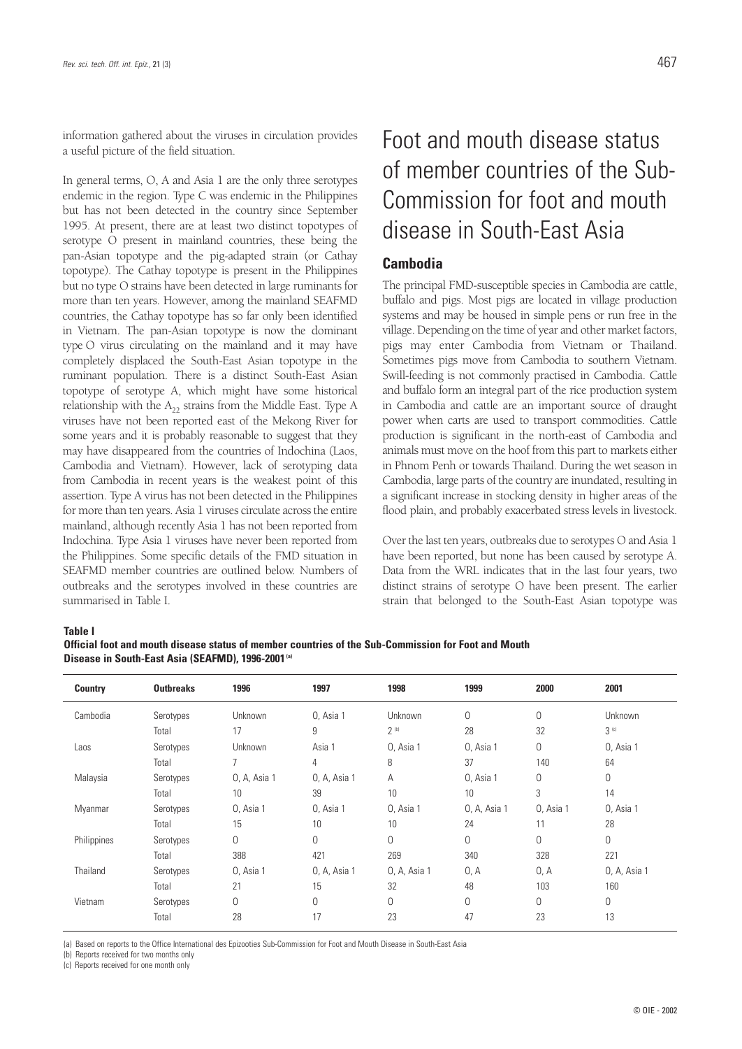information gathered about the viruses in circulation provides a useful picture of the field situation.

In general terms, O, A and Asia 1 are the only three serotypes endemic in the region. Type C was endemic in the Philippines but has not been detected in the country since September 1995. At present, there are at least two distinct topotypes of serotype O present in mainland countries, these being the pan-Asian topotype and the pig-adapted strain (or Cathay topotype). The Cathay topotype is present in the Philippines but no type O strains have been detected in large ruminants for more than ten years. However, among the mainland SEAFMD countries, the Cathay topotype has so far only been identified in Vietnam. The pan-Asian topotype is now the dominant type O virus circulating on the mainland and it may have completely displaced the South-East Asian topotype in the ruminant population. There is a distinct South-East Asian topotype of serotype A, which might have some historical relationship with the  $A_{22}$  strains from the Middle East. Type A viruses have not been reported east of the Mekong River for some years and it is probably reasonable to suggest that they may have disappeared from the countries of Indochina (Laos, Cambodia and Vietnam). However, lack of serotyping data from Cambodia in recent years is the weakest point of this assertion. Type A virus has not been detected in the Philippines for more than ten years. Asia 1 viruses circulate across the entire mainland, although recently Asia 1 has not been reported from Indochina. Type Asia 1 viruses have never been reported from the Philippines. Some specific details of the FMD situation in SEAFMD member countries are outlined below. Numbers of outbreaks and the serotypes involved in these countries are summarised in Table I.

## Foot and mouth disease status of member countries of the Sub-Commission for foot and mouth disease in South-East Asia

#### **Cambodia**

The principal FMD-susceptible species in Cambodia are cattle, buffalo and pigs. Most pigs are located in village production systems and may be housed in simple pens or run free in the village. Depending on the time of year and other market factors, pigs may enter Cambodia from Vietnam or Thailand. Sometimes pigs move from Cambodia to southern Vietnam. Swill-feeding is not commonly practised in Cambodia. Cattle and buffalo form an integral part of the rice production system in Cambodia and cattle are an important source of draught power when carts are used to transport commodities. Cattle production is significant in the north-east of Cambodia and animals must move on the hoof from this part to markets either in Phnom Penh or towards Thailand. During the wet season in Cambodia, large parts of the country are inundated, resulting in a significant increase in stocking density in higher areas of the flood plain, and probably exacerbated stress levels in livestock.

Over the last ten years, outbreaks due to serotypes O and Asia 1 have been reported, but none has been caused by serotype A. Data from the WRL indicates that in the last four years, two distinct strains of serotype O have been present. The earlier strain that belonged to the South-East Asian topotype was

#### **Table I**

**Official foot and mouth disease status of member countries of the Sub-Commission for Foot and Mouth Disease in South-East Asia (SEAFMD), 1996-2001 (a)**

| <b>Country</b> | <b>Outbreaks</b> | 1996         | 1997           | 1998         | 1999         | 2000        | 2001             |
|----------------|------------------|--------------|----------------|--------------|--------------|-------------|------------------|
| Cambodia       | Serotypes        | Unknown      | 0, Asia 1      | Unknown      | 0            | $\mathbf 0$ | Unknown          |
|                | Total            | 17           | 9              | $2^{(b)}$    | 28           | 32          | 3 <sup>(c)</sup> |
| Laos           | Serotypes        | Unknown      | Asia 1         | 0, Asia 1    | 0, Asia 1    | 0           | 0, Asia 1        |
|                | Total            | 7            | 4              | 8            | 37           | 140         | 64               |
| Malaysia       | Serotypes        | 0, A, Asia 1 | 0, A, Asia 1   | A            | 0, Asia 1    | $\mathbf 0$ | $\mathbf 0$      |
|                | Total            | 10           | 39             | 10           | 10           | 3           | 14               |
| Myanmar        | Serotypes        | 0, Asia 1    | 0, Asia 1      | 0, Asia 1    | 0, A, Asia 1 | 0, Asia 1   | 0, Asia 1        |
|                | Total            | 15           | 10             | 10           | 24           | 11          | 28               |
| Philippines    | Serotypes        | 0            | $\overline{0}$ | $\Omega$     | $\Omega$     | $\mathbf 0$ | $\overline{0}$   |
|                | Total            | 388          | 421            | 269          | 340          | 328         | 221              |
| Thailand       | Serotypes        | 0, Asia 1    | 0, A, Asia 1   | 0, A, Asia 1 | 0, A         | 0, A        | 0, A, Asia 1     |
|                | Total            | 21           | 15             | 32           | 48           | 103         | 160              |
| Vietnam        | Serotypes        | 0            | $\overline{0}$ | $\Omega$     | $\Omega$     | $\mathbf 0$ | $\overline{0}$   |
|                | Total            | 28           | 17             | 23           | 47           | 23          | 13               |

(a) Based on reports to the Office International des Epizooties Sub-Commission for Foot and Mouth Disease in South-East Asia

(b) Reports received for two months only

(c) Reports received for one month only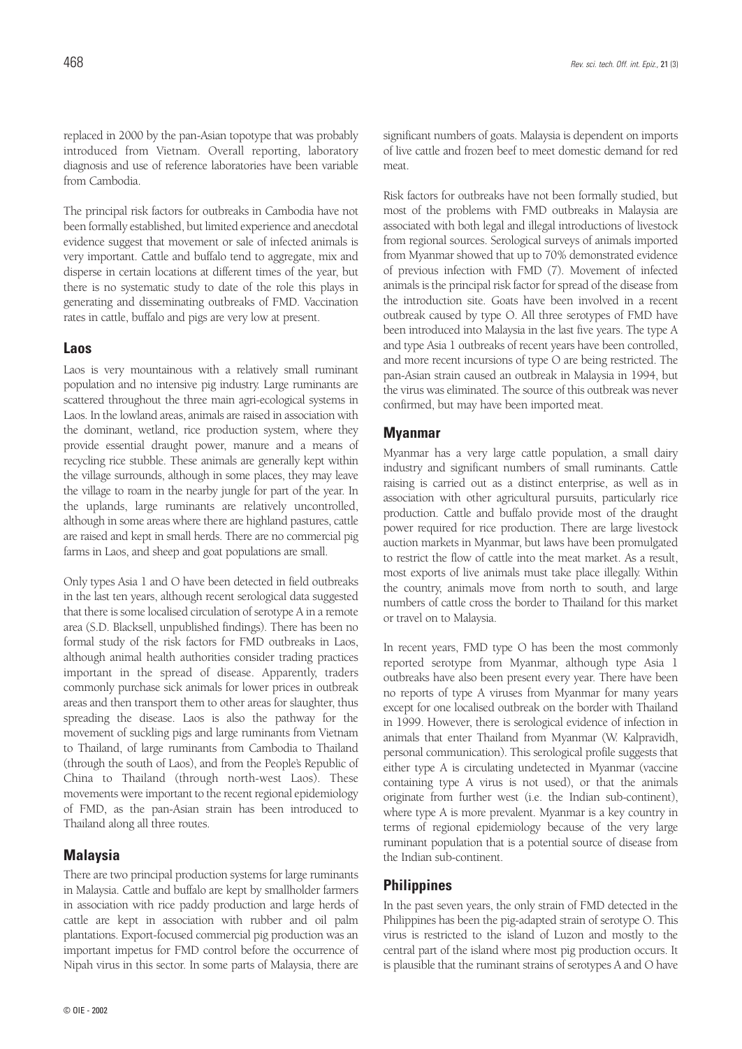replaced in 2000 by the pan-Asian topotype that was probably introduced from Vietnam. Overall reporting, laboratory diagnosis and use of reference laboratories have been variable from Cambodia.

The principal risk factors for outbreaks in Cambodia have not been formally established, but limited experience and anecdotal evidence suggest that movement or sale of infected animals is very important. Cattle and buffalo tend to aggregate, mix and disperse in certain locations at different times of the year, but there is no systematic study to date of the role this plays in generating and disseminating outbreaks of FMD. Vaccination rates in cattle, buffalo and pigs are very low at present.

#### **Laos**

Laos is very mountainous with a relatively small ruminant population and no intensive pig industry. Large ruminants are scattered throughout the three main agri-ecological systems in Laos. In the lowland areas, animals are raised in association with the dominant, wetland, rice production system, where they provide essential draught power, manure and a means of recycling rice stubble. These animals are generally kept within the village surrounds, although in some places, they may leave the village to roam in the nearby jungle for part of the year. In the uplands, large ruminants are relatively uncontrolled, although in some areas where there are highland pastures, cattle are raised and kept in small herds. There are no commercial pig farms in Laos, and sheep and goat populations are small.

Only types Asia 1 and O have been detected in field outbreaks in the last ten years, although recent serological data suggested that there is some localised circulation of serotype A in a remote area (S.D. Blacksell, unpublished findings). There has been no formal study of the risk factors for FMD outbreaks in Laos, although animal health authorities consider trading practices important in the spread of disease. Apparently, traders commonly purchase sick animals for lower prices in outbreak areas and then transport them to other areas for slaughter, thus spreading the disease. Laos is also the pathway for the movement of suckling pigs and large ruminants from Vietnam to Thailand, of large ruminants from Cambodia to Thailand (through the south of Laos), and from the People's Republic of China to Thailand (through north-west Laos). These movements were important to the recent regional epidemiology of FMD, as the pan-Asian strain has been introduced to Thailand along all three routes.

#### **Malaysia**

There are two principal production systems for large ruminants in Malaysia. Cattle and buffalo are kept by smallholder farmers in association with rice paddy production and large herds of cattle are kept in association with rubber and oil palm plantations. Export-focused commercial pig production was an important impetus for FMD control before the occurrence of Nipah virus in this sector. In some parts of Malaysia, there are

significant numbers of goats. Malaysia is dependent on imports of live cattle and frozen beef to meet domestic demand for red meat.

Risk factors for outbreaks have not been formally studied, but most of the problems with FMD outbreaks in Malaysia are associated with both legal and illegal introductions of livestock from regional sources. Serological surveys of animals imported from Myanmar showed that up to 70% demonstrated evidence of previous infection with FMD (7). Movement of infected animals is the principal risk factor for spread of the disease from the introduction site. Goats have been involved in a recent outbreak caused by type O. All three serotypes of FMD have been introduced into Malaysia in the last five years. The type A and type Asia 1 outbreaks of recent years have been controlled, and more recent incursions of type O are being restricted. The pan-Asian strain caused an outbreak in Malaysia in 1994, but the virus was eliminated. The source of this outbreak was never confirmed, but may have been imported meat.

#### **Myanmar**

Myanmar has a very large cattle population, a small dairy industry and significant numbers of small ruminants. Cattle raising is carried out as a distinct enterprise, as well as in association with other agricultural pursuits, particularly rice production. Cattle and buffalo provide most of the draught power required for rice production. There are large livestock auction markets in Myanmar, but laws have been promulgated to restrict the flow of cattle into the meat market. As a result, most exports of live animals must take place illegally. Within the country, animals move from north to south, and large numbers of cattle cross the border to Thailand for this market or travel on to Malaysia.

In recent years, FMD type O has been the most commonly reported serotype from Myanmar, although type Asia 1 outbreaks have also been present every year. There have been no reports of type A viruses from Myanmar for many years except for one localised outbreak on the border with Thailand in 1999. However, there is serological evidence of infection in animals that enter Thailand from Myanmar (W. Kalpravidh, personal communication). This serological profile suggests that either type A is circulating undetected in Myanmar (vaccine containing type A virus is not used), or that the animals originate from further west (i.e. the Indian sub-continent), where type A is more prevalent. Myanmar is a key country in terms of regional epidemiology because of the very large ruminant population that is a potential source of disease from the Indian sub-continent.

#### **Philippines**

In the past seven years, the only strain of FMD detected in the Philippines has been the pig-adapted strain of serotype O. This virus is restricted to the island of Luzon and mostly to the central part of the island where most pig production occurs. It is plausible that the ruminant strains of serotypes A and O have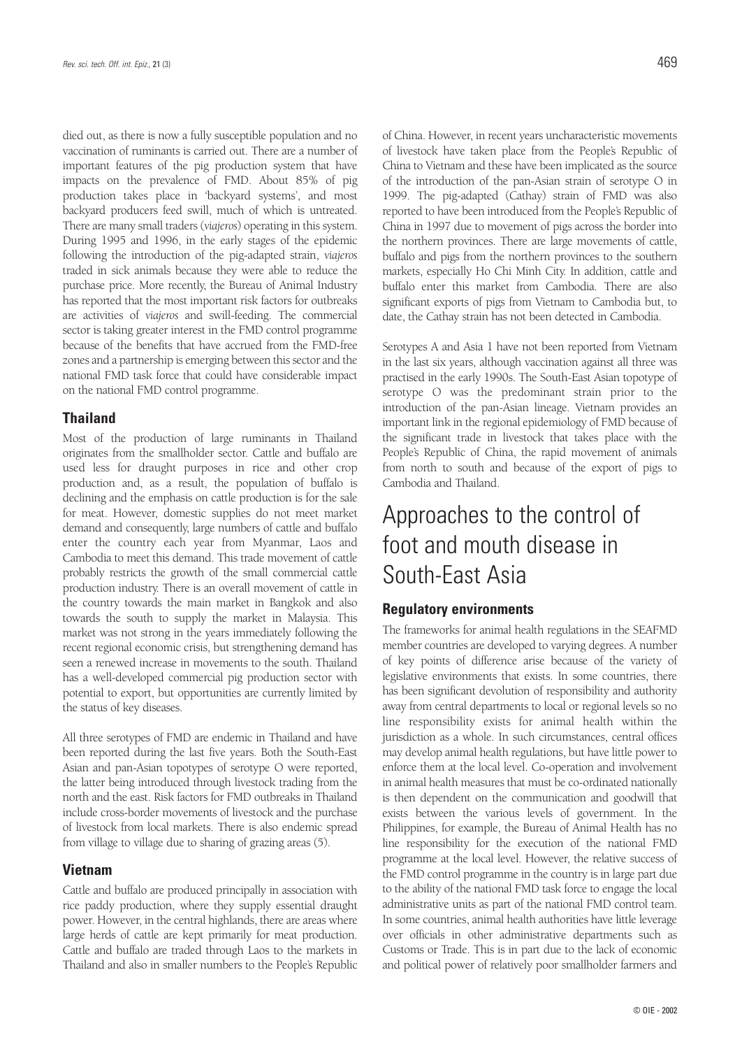died out, as there is now a fully susceptible population and no vaccination of ruminants is carried out. There are a number of important features of the pig production system that have impacts on the prevalence of FMD. About 85% of pig production takes place in 'backyard systems', and most backyard producers feed swill, much of which is untreated. There are many small traders (*viajeros*) operating in this system. During 1995 and 1996, in the early stages of the epidemic following the introduction of the pig-adapted strain, *viajeros* traded in sick animals because they were able to reduce the purchase price. More recently, the Bureau of Animal Industry has reported that the most important risk factors for outbreaks are activities of *viajeros* and swill-feeding. The commercial sector is taking greater interest in the FMD control programme because of the benefits that have accrued from the FMD-free zones and a partnership is emerging between this sector and the national FMD task force that could have considerable impact on the national FMD control programme.

#### **Thailand**

Most of the production of large ruminants in Thailand originates from the smallholder sector. Cattle and buffalo are used less for draught purposes in rice and other crop production and, as a result, the population of buffalo is declining and the emphasis on cattle production is for the sale for meat. However, domestic supplies do not meet market demand and consequently, large numbers of cattle and buffalo enter the country each year from Myanmar, Laos and Cambodia to meet this demand. This trade movement of cattle probably restricts the growth of the small commercial cattle production industry. There is an overall movement of cattle in the country towards the main market in Bangkok and also towards the south to supply the market in Malaysia. This market was not strong in the years immediately following the recent regional economic crisis, but strengthening demand has seen a renewed increase in movements to the south. Thailand has a well-developed commercial pig production sector with potential to export, but opportunities are currently limited by the status of key diseases.

All three serotypes of FMD are endemic in Thailand and have been reported during the last five years. Both the South-East Asian and pan-Asian topotypes of serotype O were reported, the latter being introduced through livestock trading from the north and the east. Risk factors for FMD outbreaks in Thailand include cross-border movements of livestock and the purchase of livestock from local markets. There is also endemic spread from village to village due to sharing of grazing areas (5).

#### **Vietnam**

Cattle and buffalo are produced principally in association with rice paddy production, where they supply essential draught power. However, in the central highlands, there are areas where large herds of cattle are kept primarily for meat production. Cattle and buffalo are traded through Laos to the markets in Thailand and also in smaller numbers to the People's Republic of China. However, in recent years uncharacteristic movements of livestock have taken place from the People's Republic of China to Vietnam and these have been implicated as the source of the introduction of the pan-Asian strain of serotype O in 1999. The pig-adapted (Cathay) strain of FMD was also reported to have been introduced from the People's Republic of China in 1997 due to movement of pigs across the border into the northern provinces. There are large movements of cattle, buffalo and pigs from the northern provinces to the southern markets, especially Ho Chi Minh City. In addition, cattle and buffalo enter this market from Cambodia. There are also significant exports of pigs from Vietnam to Cambodia but, to date, the Cathay strain has not been detected in Cambodia.

Serotypes A and Asia 1 have not been reported from Vietnam in the last six years, although vaccination against all three was practised in the early 1990s. The South-East Asian topotype of serotype O was the predominant strain prior to the introduction of the pan-Asian lineage. Vietnam provides an important link in the regional epidemiology of FMD because of the significant trade in livestock that takes place with the People's Republic of China, the rapid movement of animals from north to south and because of the export of pigs to Cambodia and Thailand.

## Approaches to the control of foot and mouth disease in South-East Asia

#### **Regulatory environments**

The frameworks for animal health regulations in the SEAFMD member countries are developed to varying degrees. A number of key points of difference arise because of the variety of legislative environments that exists. In some countries, there has been significant devolution of responsibility and authority away from central departments to local or regional levels so no line responsibility exists for animal health within the jurisdiction as a whole. In such circumstances, central offices may develop animal health regulations, but have little power to enforce them at the local level. Co-operation and involvement in animal health measures that must be co-ordinated nationally is then dependent on the communication and goodwill that exists between the various levels of government. In the Philippines, for example, the Bureau of Animal Health has no line responsibility for the execution of the national FMD programme at the local level. However, the relative success of the FMD control programme in the country is in large part due to the ability of the national FMD task force to engage the local administrative units as part of the national FMD control team. In some countries, animal health authorities have little leverage over officials in other administrative departments such as Customs or Trade. This is in part due to the lack of economic and political power of relatively poor smallholder farmers and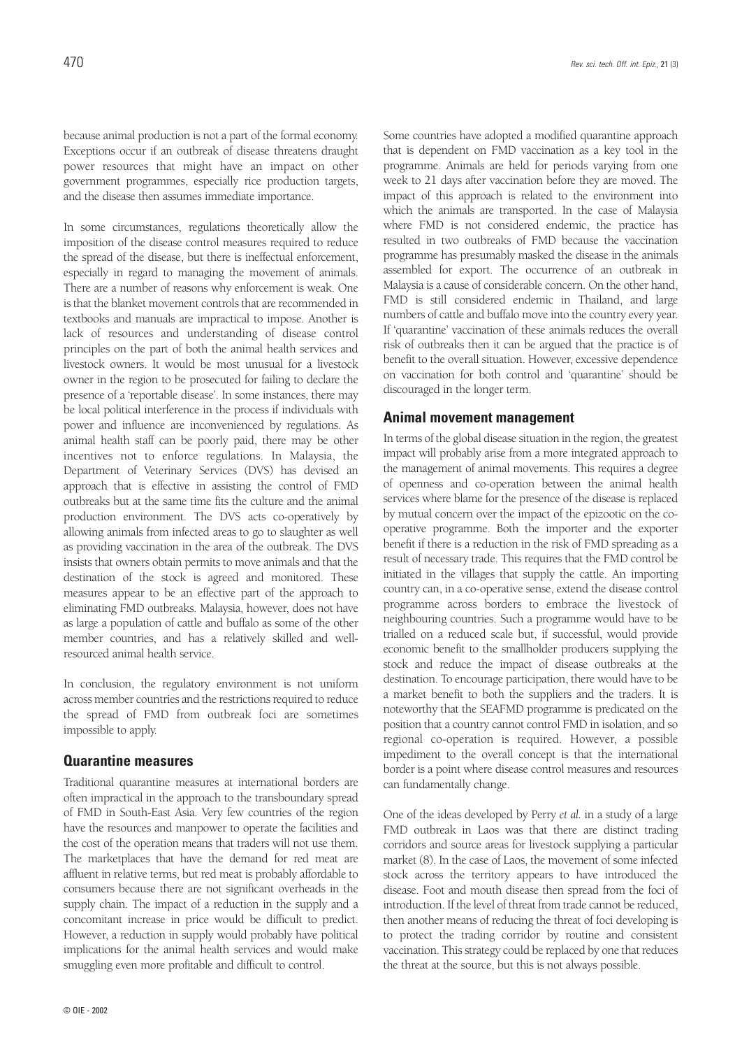because animal production is not a part of the formal economy. Exceptions occur if an outbreak of disease threatens draught power resources that might have an impact on other government programmes, especially rice production targets,

and the disease then assumes immediate importance.

In some circumstances, regulations theoretically allow the imposition of the disease control measures required to reduce the spread of the disease, but there is ineffectual enforcement, especially in regard to managing the movement of animals. There are a number of reasons why enforcement is weak. One is that the blanket movement controls that are recommended in textbooks and manuals are impractical to impose. Another is lack of resources and understanding of disease control principles on the part of both the animal health services and livestock owners. It would be most unusual for a livestock owner in the region to be prosecuted for failing to declare the presence of a 'reportable disease'. In some instances, there may be local political interference in the process if individuals with power and influence are inconvenienced by regulations. As animal health staff can be poorly paid, there may be other incentives not to enforce regulations. In Malaysia, the Department of Veterinary Services (DVS) has devised an approach that is effective in assisting the control of FMD outbreaks but at the same time fits the culture and the animal production environment. The DVS acts co-operatively by allowing animals from infected areas to go to slaughter as well as providing vaccination in the area of the outbreak. The DVS insists that owners obtain permits to move animals and that the destination of the stock is agreed and monitored. These measures appear to be an effective part of the approach to eliminating FMD outbreaks. Malaysia, however, does not have as large a population of cattle and buffalo as some of the other member countries, and has a relatively skilled and wellresourced animal health service.

In conclusion, the regulatory environment is not uniform across member countries and the restrictions required to reduce the spread of FMD from outbreak foci are sometimes impossible to apply.

#### **Quarantine measures**

Traditional quarantine measures at international borders are often impractical in the approach to the transboundary spread of FMD in South-East Asia. Very few countries of the region have the resources and manpower to operate the facilities and the cost of the operation means that traders will not use them. The marketplaces that have the demand for red meat are affluent in relative terms, but red meat is probably affordable to consumers because there are not significant overheads in the supply chain. The impact of a reduction in the supply and a concomitant increase in price would be difficult to predict. However, a reduction in supply would probably have political implications for the animal health services and would make smuggling even more profitable and difficult to control.

Some countries have adopted a modified quarantine approach that is dependent on FMD vaccination as a key tool in the programme. Animals are held for periods varying from one week to 21 days after vaccination before they are moved. The impact of this approach is related to the environment into which the animals are transported. In the case of Malaysia where FMD is not considered endemic, the practice has resulted in two outbreaks of FMD because the vaccination programme has presumably masked the disease in the animals assembled for export. The occurrence of an outbreak in Malaysia is a cause of considerable concern. On the other hand, FMD is still considered endemic in Thailand, and large numbers of cattle and buffalo move into the country every year. If 'quarantine' vaccination of these animals reduces the overall risk of outbreaks then it can be argued that the practice is of benefit to the overall situation. However, excessive dependence on vaccination for both control and 'quarantine' should be discouraged in the longer term.

#### **Animal movement management**

In terms of the global disease situation in the region, the greatest impact will probably arise from a more integrated approach to the management of animal movements. This requires a degree of openness and co-operation between the animal health services where blame for the presence of the disease is replaced by mutual concern over the impact of the epizootic on the cooperative programme. Both the importer and the exporter benefit if there is a reduction in the risk of FMD spreading as a result of necessary trade. This requires that the FMD control be initiated in the villages that supply the cattle. An importing country can, in a co-operative sense, extend the disease control programme across borders to embrace the livestock of neighbouring countries. Such a programme would have to be trialled on a reduced scale but, if successful, would provide economic benefit to the smallholder producers supplying the stock and reduce the impact of disease outbreaks at the destination. To encourage participation, there would have to be a market benefit to both the suppliers and the traders. It is noteworthy that the SEAFMD programme is predicated on the position that a country cannot control FMD in isolation, and so regional co-operation is required. However, a possible impediment to the overall concept is that the international border is a point where disease control measures and resources can fundamentally change.

One of the ideas developed by Perry *et al.* in a study of a large FMD outbreak in Laos was that there are distinct trading corridors and source areas for livestock supplying a particular market (8). In the case of Laos, the movement of some infected stock across the territory appears to have introduced the disease. Foot and mouth disease then spread from the foci of introduction. If the level of threat from trade cannot be reduced, then another means of reducing the threat of foci developing is to protect the trading corridor by routine and consistent vaccination. This strategy could be replaced by one that reduces the threat at the source, but this is not always possible.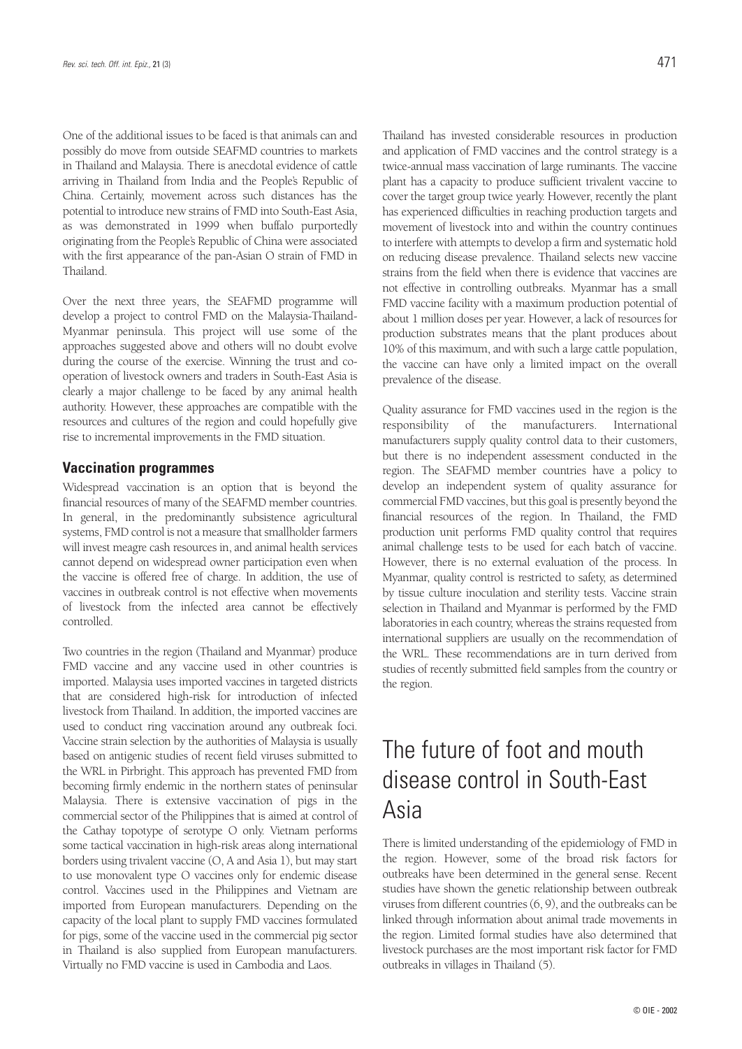One of the additional issues to be faced is that animals can and possibly do move from outside SEAFMD countries to markets in Thailand and Malaysia. There is anecdotal evidence of cattle arriving in Thailand from India and the People's Republic of China. Certainly, movement across such distances has the potential to introduce new strains of FMD into South-East Asia, as was demonstrated in 1999 when buffalo purportedly originating from the People's Republic of China were associated with the first appearance of the pan-Asian O strain of FMD in Thailand.

Over the next three years, the SEAFMD programme will develop a project to control FMD on the Malaysia-Thailand-Myanmar peninsula. This project will use some of the approaches suggested above and others will no doubt evolve during the course of the exercise. Winning the trust and cooperation of livestock owners and traders in South-East Asia is clearly a major challenge to be faced by any animal health authority. However, these approaches are compatible with the resources and cultures of the region and could hopefully give rise to incremental improvements in the FMD situation.

#### **Vaccination programmes**

Widespread vaccination is an option that is beyond the financial resources of many of the SEAFMD member countries. In general, in the predominantly subsistence agricultural systems, FMD control is not a measure that smallholder farmers will invest meagre cash resources in, and animal health services cannot depend on widespread owner participation even when the vaccine is offered free of charge. In addition, the use of vaccines in outbreak control is not effective when movements of livestock from the infected area cannot be effectively controlled.

Two countries in the region (Thailand and Myanmar) produce FMD vaccine and any vaccine used in other countries is imported. Malaysia uses imported vaccines in targeted districts that are considered high-risk for introduction of infected livestock from Thailand. In addition, the imported vaccines are used to conduct ring vaccination around any outbreak foci. Vaccine strain selection by the authorities of Malaysia is usually based on antigenic studies of recent field viruses submitted to the WRL in Pirbright. This approach has prevented FMD from becoming firmly endemic in the northern states of peninsular Malaysia. There is extensive vaccination of pigs in the commercial sector of the Philippines that is aimed at control of the Cathay topotype of serotype O only. Vietnam performs some tactical vaccination in high-risk areas along international borders using trivalent vaccine (O, A and Asia 1), but may start to use monovalent type O vaccines only for endemic disease control. Vaccines used in the Philippines and Vietnam are imported from European manufacturers. Depending on the capacity of the local plant to supply FMD vaccines formulated for pigs, some of the vaccine used in the commercial pig sector in Thailand is also supplied from European manufacturers. Virtually no FMD vaccine is used in Cambodia and Laos.

Thailand has invested considerable resources in production and application of FMD vaccines and the control strategy is a twice-annual mass vaccination of large ruminants. The vaccine plant has a capacity to produce sufficient trivalent vaccine to cover the target group twice yearly. However, recently the plant has experienced difficulties in reaching production targets and movement of livestock into and within the country continues to interfere with attempts to develop a firm and systematic hold on reducing disease prevalence. Thailand selects new vaccine strains from the field when there is evidence that vaccines are not effective in controlling outbreaks. Myanmar has a small FMD vaccine facility with a maximum production potential of about 1 million doses per year. However, a lack of resources for production substrates means that the plant produces about 10% of this maximum, and with such a large cattle population, the vaccine can have only a limited impact on the overall prevalence of the disease.

Quality assurance for FMD vaccines used in the region is the responsibility of the manufacturers. International manufacturers supply quality control data to their customers, but there is no independent assessment conducted in the region. The SEAFMD member countries have a policy to develop an independent system of quality assurance for commercial FMD vaccines, but this goal is presently beyond the financial resources of the region. In Thailand, the FMD production unit performs FMD quality control that requires animal challenge tests to be used for each batch of vaccine. However, there is no external evaluation of the process. In Myanmar, quality control is restricted to safety, as determined by tissue culture inoculation and sterility tests. Vaccine strain selection in Thailand and Myanmar is performed by the FMD laboratories in each country, whereas the strains requested from international suppliers are usually on the recommendation of the WRL. These recommendations are in turn derived from studies of recently submitted field samples from the country or the region.

## The future of foot and mouth disease control in South-East Asia

There is limited understanding of the epidemiology of FMD in the region. However, some of the broad risk factors for outbreaks have been determined in the general sense. Recent studies have shown the genetic relationship between outbreak viruses from different countries (6, 9), and the outbreaks can be linked through information about animal trade movements in the region. Limited formal studies have also determined that livestock purchases are the most important risk factor for FMD outbreaks in villages in Thailand (5).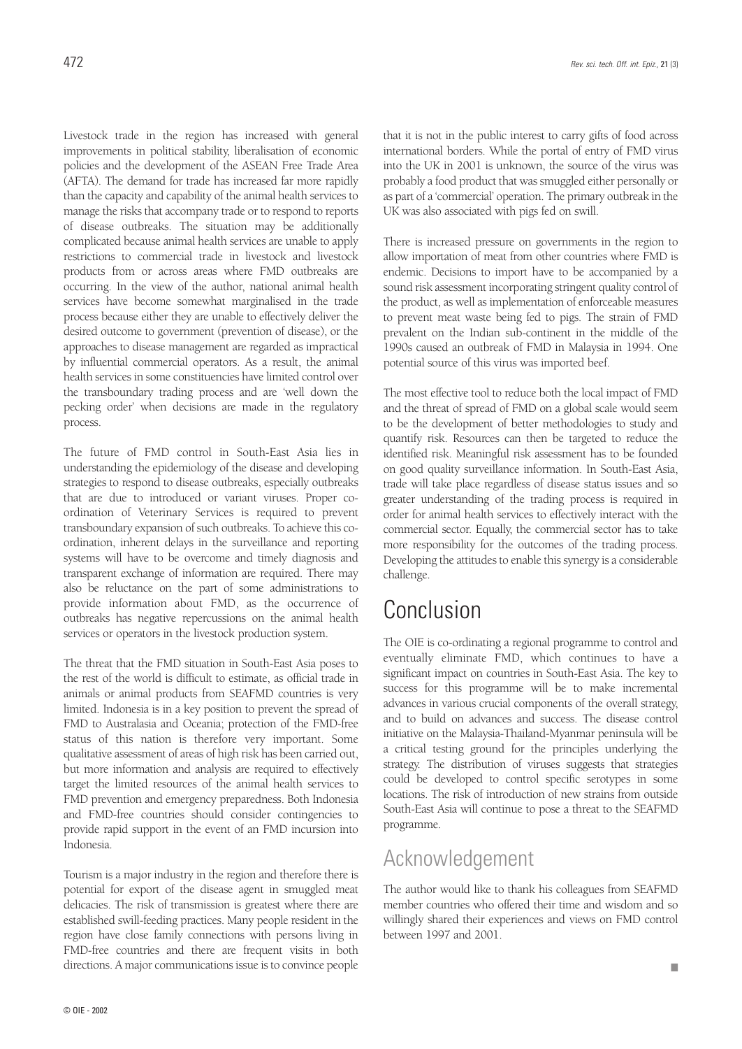Livestock trade in the region has increased with general improvements in political stability, liberalisation of economic policies and the development of the ASEAN Free Trade Area (AFTA). The demand for trade has increased far more rapidly than the capacity and capability of the animal health services to manage the risks that accompany trade or to respond to reports of disease outbreaks. The situation may be additionally complicated because animal health services are unable to apply restrictions to commercial trade in livestock and livestock products from or across areas where FMD outbreaks are occurring. In the view of the author, national animal health services have become somewhat marginalised in the trade process because either they are unable to effectively deliver the desired outcome to government (prevention of disease), or the approaches to disease management are regarded as impractical by influential commercial operators. As a result, the animal health services in some constituencies have limited control over the transboundary trading process and are 'well down the pecking order' when decisions are made in the regulatory process.

The future of FMD control in South-East Asia lies in understanding the epidemiology of the disease and developing strategies to respond to disease outbreaks, especially outbreaks that are due to introduced or variant viruses. Proper coordination of Veterinary Services is required to prevent transboundary expansion of such outbreaks. To achieve this coordination, inherent delays in the surveillance and reporting systems will have to be overcome and timely diagnosis and transparent exchange of information are required. There may also be reluctance on the part of some administrations to provide information about FMD, as the occurrence of outbreaks has negative repercussions on the animal health services or operators in the livestock production system.

The threat that the FMD situation in South-East Asia poses to the rest of the world is difficult to estimate, as official trade in animals or animal products from SEAFMD countries is very limited. Indonesia is in a key position to prevent the spread of FMD to Australasia and Oceania; protection of the FMD-free status of this nation is therefore very important. Some qualitative assessment of areas of high risk has been carried out, but more information and analysis are required to effectively target the limited resources of the animal health services to FMD prevention and emergency preparedness. Both Indonesia and FMD-free countries should consider contingencies to provide rapid support in the event of an FMD incursion into Indonesia.

Tourism is a major industry in the region and therefore there is potential for export of the disease agent in smuggled meat delicacies. The risk of transmission is greatest where there are established swill-feeding practices. Many people resident in the region have close family connections with persons living in FMD-free countries and there are frequent visits in both directions. A major communications issue is to convince people

that it is not in the public interest to carry gifts of food across international borders. While the portal of entry of FMD virus into the UK in 2001 is unknown, the source of the virus was probably a food product that was smuggled either personally or as part of a 'commercial' operation. The primary outbreak in the UK was also associated with pigs fed on swill.

There is increased pressure on governments in the region to allow importation of meat from other countries where FMD is endemic. Decisions to import have to be accompanied by a sound risk assessment incorporating stringent quality control of the product, as well as implementation of enforceable measures to prevent meat waste being fed to pigs. The strain of FMD prevalent on the Indian sub-continent in the middle of the 1990s caused an outbreak of FMD in Malaysia in 1994. One potential source of this virus was imported beef.

The most effective tool to reduce both the local impact of FMD and the threat of spread of FMD on a global scale would seem to be the development of better methodologies to study and quantify risk. Resources can then be targeted to reduce the identified risk. Meaningful risk assessment has to be founded on good quality surveillance information. In South-East Asia, trade will take place regardless of disease status issues and so greater understanding of the trading process is required in order for animal health services to effectively interact with the commercial sector. Equally, the commercial sector has to take more responsibility for the outcomes of the trading process. Developing the attitudes to enable this synergy is a considerable challenge.

### Conclusion

The OIE is co-ordinating a regional programme to control and eventually eliminate FMD, which continues to have a significant impact on countries in South-East Asia. The key to success for this programme will be to make incremental advances in various crucial components of the overall strategy, and to build on advances and success. The disease control initiative on the Malaysia-Thailand-Myanmar peninsula will be a critical testing ground for the principles underlying the strategy. The distribution of viruses suggests that strategies could be developed to control specific serotypes in some locations. The risk of introduction of new strains from outside South-East Asia will continue to pose a threat to the SEAFMD programme.

### Acknowledgement

The author would like to thank his colleagues from SEAFMD member countries who offered their time and wisdom and so willingly shared their experiences and views on FMD control between 1997 and 2001.

■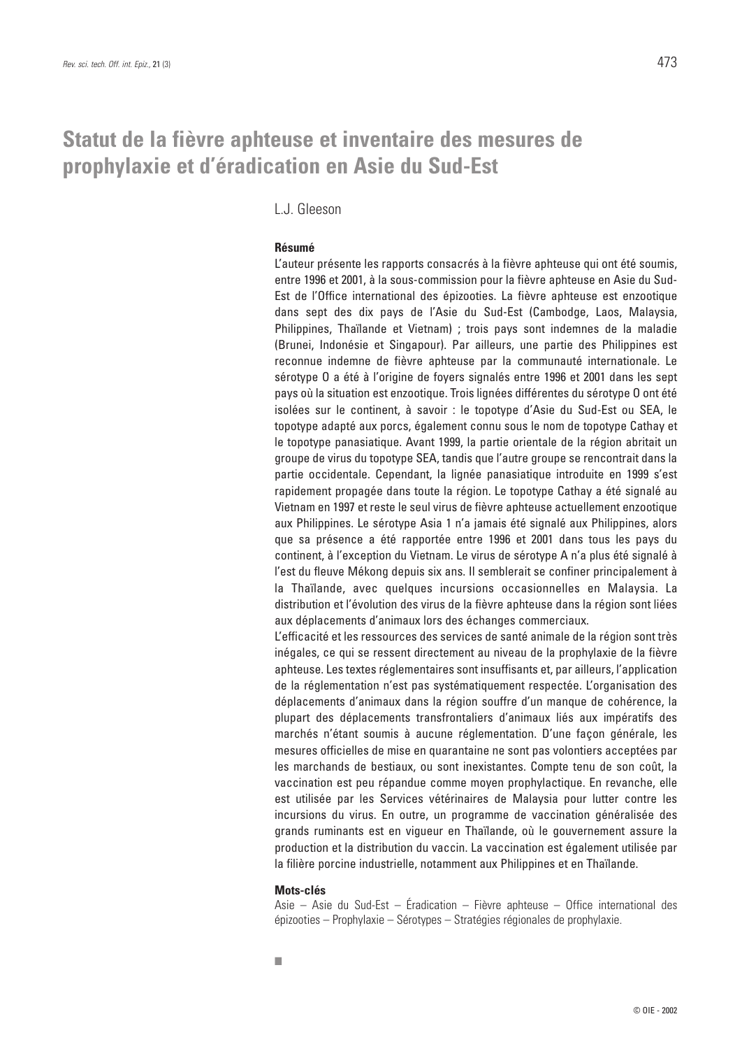### **Statut de la fièvre aphteuse et inventaire des mesures de prophylaxie et d'éradication en Asie du Sud-Est**

L.J. Gleeson

#### **Résumé**

L'auteur présente les rapports consacrés à la fièvre aphteuse qui ont été soumis, entre 1996 et 2001, à la sous-commission pour la fièvre aphteuse en Asie du Sud-Est de l'Office international des épizooties. La fièvre aphteuse est enzootique dans sept des dix pays de l'Asie du Sud-Est (Cambodge, Laos, Malaysia, Philippines, Thaïlande et Vietnam) ; trois pays sont indemnes de la maladie (Brunei, Indonésie et Singapour). Par ailleurs, une partie des Philippines est reconnue indemne de fièvre aphteuse par la communauté internationale. Le sérotype O a été à l'origine de foyers signalés entre 1996 et 2001 dans les sept pays où la situation est enzootique. Trois lignées différentes du sérotype O ont été isolées sur le continent, à savoir : le topotype d'Asie du Sud-Est ou SEA, le topotype adapté aux porcs, également connu sous le nom de topotype Cathay et le topotype panasiatique. Avant 1999, la partie orientale de la région abritait un groupe de virus du topotype SEA, tandis que l'autre groupe se rencontrait dans la partie occidentale. Cependant, la lignée panasiatique introduite en 1999 s'est rapidement propagée dans toute la région. Le topotype Cathay a été signalé au Vietnam en 1997 et reste le seul virus de fièvre aphteuse actuellement enzootique aux Philippines. Le sérotype Asia 1 n'a jamais été signalé aux Philippines, alors que sa présence a été rapportée entre 1996 et 2001 dans tous les pays du continent, à l'exception du Vietnam. Le virus de sérotype A n'a plus été signalé à l'est du fleuve Mékong depuis six ans. Il semblerait se confiner principalement à la Thaïlande, avec quelques incursions occasionnelles en Malaysia. La distribution et l'évolution des virus de la fièvre aphteuse dans la région sont liées aux déplacements d'animaux lors des échanges commerciaux.

L'efficacité et les ressources des services de santé animale de la région sont très inégales, ce qui se ressent directement au niveau de la prophylaxie de la fièvre aphteuse. Les textes réglementaires sont insuffisants et, par ailleurs, l'application de la réglementation n'est pas systématiquement respectée. L'organisation des déplacements d'animaux dans la région souffre d'un manque de cohérence, la plupart des déplacements transfrontaliers d'animaux liés aux impératifs des marchés n'étant soumis à aucune réglementation. D'une façon générale, les mesures officielles de mise en quarantaine ne sont pas volontiers acceptées par les marchands de bestiaux, ou sont inexistantes. Compte tenu de son coût, la vaccination est peu répandue comme moyen prophylactique. En revanche, elle est utilisée par les Services vétérinaires de Malaysia pour lutter contre les incursions du virus. En outre, un programme de vaccination généralisée des grands ruminants est en vigueur en Thaïlande, où le gouvernement assure la production et la distribution du vaccin. La vaccination est également utilisée par la filière porcine industrielle, notamment aux Philippines et en Thaïlande.

#### **Mots-clés**

Asie – Asie du Sud-Est – Éradication – Fièvre aphteuse – Office international des épizooties – Prophylaxie – Sérotypes – Stratégies régionales de prophylaxie.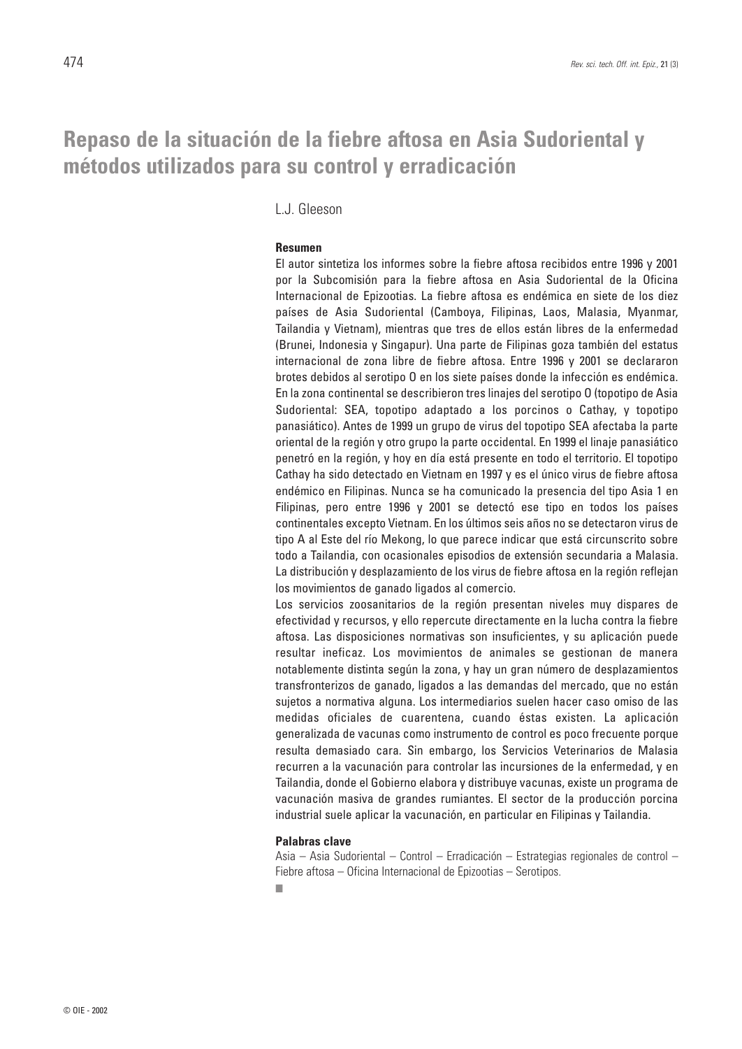### **Repaso de la situación de la fiebre aftosa en Asia Sudoriental y métodos utilizados para su control y erradicación**

L.J. Gleeson

#### **Resumen**

El autor sintetiza los informes sobre la fiebre aftosa recibidos entre 1996 y 2001 por la Subcomisión para la fiebre aftosa en Asia Sudoriental de la Oficina Internacional de Epizootias. La fiebre aftosa es endémica en siete de los diez países de Asia Sudoriental (Camboya, Filipinas, Laos, Malasia, Myanmar, Tailandia y Vietnam), mientras que tres de ellos están libres de la enfermedad (Brunei, Indonesia y Singapur). Una parte de Filipinas goza también del estatus internacional de zona libre de fiebre aftosa. Entre 1996 y 2001 se declararon brotes debidos al serotipo O en los siete países donde la infección es endémica. En la zona continental se describieron tres linajes del serotipo O (topotipo de Asia Sudoriental: SEA, topotipo adaptado a los porcinos o Cathay, y topotipo panasiático). Antes de 1999 un grupo de virus del topotipo SEA afectaba la parte oriental de la región y otro grupo la parte occidental. En 1999 el linaje panasiático penetró en la región, y hoy en día está presente en todo el territorio. El topotipo Cathay ha sido detectado en Vietnam en 1997 y es el único virus de fiebre aftosa endémico en Filipinas. Nunca se ha comunicado la presencia del tipo Asia 1 en Filipinas, pero entre 1996 y 2001 se detectó ese tipo en todos los países continentales excepto Vietnam. En los últimos seis años no se detectaron virus de tipo A al Este del río Mekong, lo que parece indicar que está circunscrito sobre todo a Tailandia, con ocasionales episodios de extensión secundaria a Malasia. La distribución y desplazamiento de los virus de fiebre aftosa en la región reflejan los movimientos de ganado ligados al comercio.

Los servicios zoosanitarios de la región presentan niveles muy dispares de efectividad y recursos, y ello repercute directamente en la lucha contra la fiebre aftosa. Las disposiciones normativas son insuficientes, y su aplicación puede resultar ineficaz. Los movimientos de animales se gestionan de manera notablemente distinta según la zona, y hay un gran número de desplazamientos transfronterizos de ganado, ligados a las demandas del mercado, que no están sujetos a normativa alguna. Los intermediarios suelen hacer caso omiso de las medidas oficiales de cuarentena, cuando éstas existen. La aplicación generalizada de vacunas como instrumento de control es poco frecuente porque resulta demasiado cara. Sin embargo, los Servicios Veterinarios de Malasia recurren a la vacunación para controlar las incursiones de la enfermedad, y en Tailandia, donde el Gobierno elabora y distribuye vacunas, existe un programa de vacunación masiva de grandes rumiantes. El sector de la producción porcina industrial suele aplicar la vacunación, en particular en Filipinas y Tailandia.

#### **Palabras clave**

Asia – Asia Sudoriental – Control – Erradicación – Estrategias regionales de control – Fiebre aftosa – Oficina Internacional de Epizootias – Serotipos.

■